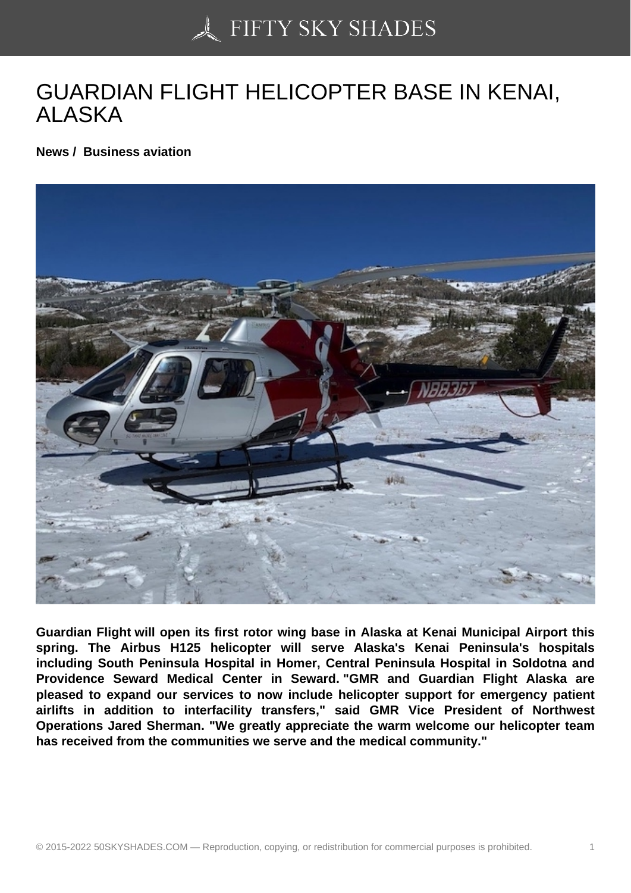## [GUARDIAN FLIGHT H](https://50skyshades.com)ELICOPTER BASE IN KENAI, ALASKA

News / Business aviation

Guardian Flight will open its first rotor wing base in Alaska at Kenai Municipal Airport this spring. The Airbus H125 helicopter will serve Alaska's Kenai Peninsula's hospitals including South Peninsula Hospital in Homer, Central Peninsula Hospital in Soldotna and Providence Seward Medical Center in Seward. "GMR and Guardian Flight Alaska are pleased to expand our services to now include helicopter support for emergency patient airlifts in addition to interfacility transfers," said GMR Vice President of Northwest Operations Jared Sherman. "We greatly appreciate the warm welcome our helicopter team has received from the communities we serve and the medical community."